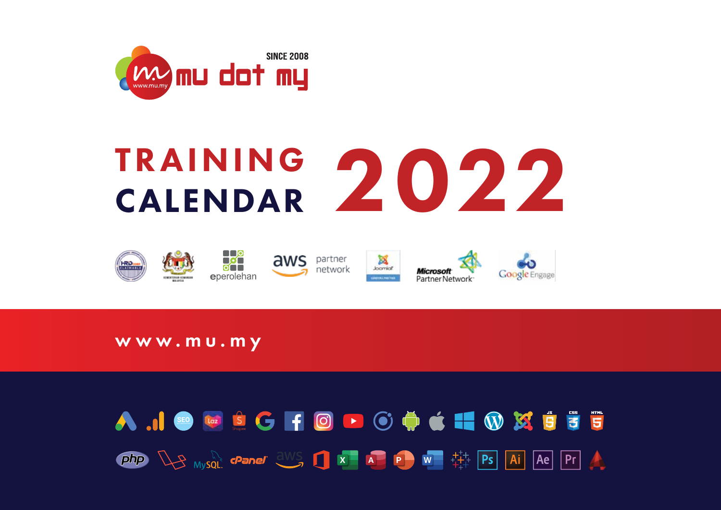

# TRAINING 2022



www.mu.my

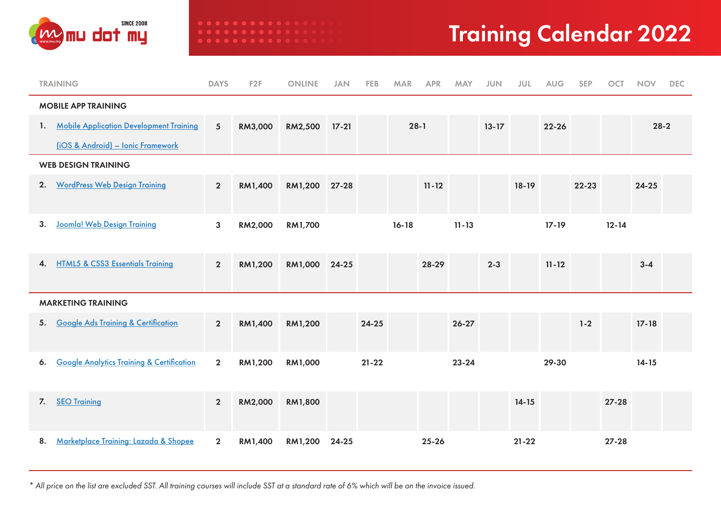

|    | <b>TRAINING</b>                                      | <b>DAYS</b>     | F <sub>2F</sub> | <b>ONLINE</b> | <b>JAN</b> | FEB       | <b>MAR</b> | <b>APR</b> | <b>MAY</b> | <b>JUN</b> | JUL       | <b>AUG</b> | <b>SEP</b> | <b>OCT</b> | <b>NOV</b> | <b>DEC</b> |  |  |
|----|------------------------------------------------------|-----------------|-----------------|---------------|------------|-----------|------------|------------|------------|------------|-----------|------------|------------|------------|------------|------------|--|--|
|    | <b>MOBILE APP TRAINING</b>                           |                 |                 |               |            |           |            |            |            |            |           |            |            |            |            |            |  |  |
| 1. | <b>Mobile Application Development Training</b>       | $5\phantom{.0}$ | RM3,000         | RM2,500       | $17 - 21$  |           |            | $28 - 1$   |            | $13 - 17$  |           | $22 - 26$  |            |            | $28-2$     |            |  |  |
|    | (iOS & Android) - Ionic Framework                    |                 |                 |               |            |           |            |            |            |            |           |            |            |            |            |            |  |  |
|    | <b>WEB DESIGN TRAINING</b>                           |                 |                 |               |            |           |            |            |            |            |           |            |            |            |            |            |  |  |
| 2. | <b>WordPress Web Design Training</b>                 | $\overline{2}$  | RM1,400         | RM1,200 27-28 |            |           |            | $11 - 12$  |            |            | $18 - 19$ |            | 22-23      |            | $24 - 25$  |            |  |  |
| 3. | Joomla! Web Design Training                          | $\mathbf{3}$    | RM2,000         | RM1,700       |            |           | $16 - 18$  |            | $11 - 13$  |            |           | $17 - 19$  |            | $12 - 14$  |            |            |  |  |
| 4. | <b>HTML5 &amp; CSS3 Essentials Training</b>          | $2^{\circ}$     | RM1,200         | RM1,000 24-25 |            |           |            | 28-29      |            | $2 - 3$    |           | $11 - 12$  |            |            | $3 - 4$    |            |  |  |
|    | <b>MARKETING TRAINING</b>                            |                 |                 |               |            |           |            |            |            |            |           |            |            |            |            |            |  |  |
| 5. | <b>Google Ads Training &amp; Certification</b>       | $\overline{2}$  | RM1,400         | RM1,200       |            | $24 - 25$ |            |            | $26 - 27$  |            |           |            | $1 - 2$    |            | $17 - 18$  |            |  |  |
| 6. | <b>Google Analytics Training &amp; Certification</b> | $\overline{2}$  | RM1,200         | RM1,000       |            | $21 - 22$ |            |            | 23-24      |            |           | 29-30      |            |            | $14 - 15$  |            |  |  |
| 7. | <b>SEO Training</b>                                  | $2^{\circ}$     | RM2,000         | RM1,800       |            |           |            |            |            |            | $14 - 15$ |            |            | $27 - 28$  |            |            |  |  |
| 8. | Marketplace Training: Lazada & Shopee                | $\mathbf{2}$    | RM1,400         | RM1,200       | 24-25      |           |            | $25 - 26$  |            |            | $21 - 22$ |            |            | $27 - 28$  |            |            |  |  |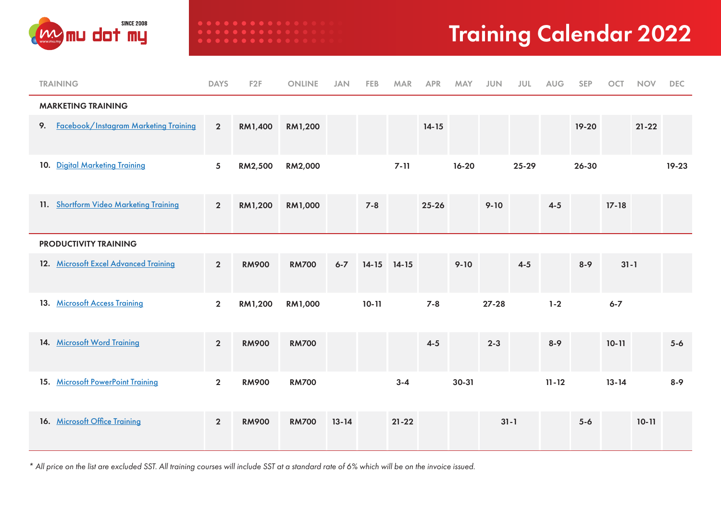

| <b>TRAINING</b>                             | <b>DAYS</b>     | F <sub>2F</sub> | <b>ONLINE</b> | <b>JAN</b> | FEB       | <b>MAR</b>  | <b>APR</b> | <b>MAY</b> | <b>JUN</b> | <b>JUL</b> | <b>AUG</b> | <b>SEP</b> | <b>OCT</b> | <b>NOV</b> | <b>DEC</b> |
|---------------------------------------------|-----------------|-----------------|---------------|------------|-----------|-------------|------------|------------|------------|------------|------------|------------|------------|------------|------------|
| <b>MARKETING TRAINING</b>                   |                 |                 |               |            |           |             |            |            |            |            |            |            |            |            |            |
| Facebook/Instagram Marketing Training<br>9. | $\overline{2}$  | RM1,400         | RM1,200       |            |           |             | $14 - 15$  |            |            |            |            | $19-20$    |            | $21 - 22$  |            |
| 10. Digital Marketing Training              | $5\phantom{.0}$ | RM2,500         | RM2,000       |            |           | $7 - 11$    |            | $16 - 20$  |            | 25-29      |            | 26-30      |            |            | $19 - 23$  |
| 11. Shortform Video Marketing Training      | $\overline{2}$  | RM1,200         | RM1,000       |            | $7 - 8$   |             | $25 - 26$  |            | $9 - 10$   |            | $4-5$      |            | $17 - 18$  |            |            |
| PRODUCTIVITY TRAINING                       |                 |                 |               |            |           |             |            |            |            |            |            |            |            |            |            |
| 12. Microsoft Excel Advanced Training       | $\overline{2}$  | <b>RM900</b>    | <b>RM700</b>  | $6 - 7$    |           | 14-15 14-15 |            | $9 - 10$   |            | $4-5$      |            | $8 - 9$    | $31 - 1$   |            |            |
| 13. Microsoft Access Training               | $\overline{2}$  | RM1,200         | RM1,000       |            | $10 - 11$ |             | $7 - 8$    |            | $27 - 28$  |            | $1 - 2$    |            | $6 - 7$    |            |            |
| 14. Microsoft Word Training                 | $\overline{2}$  | <b>RM900</b>    | <b>RM700</b>  |            |           |             | $4-5$      |            | $2 - 3$    |            | $8 - 9$    |            | $10 - 11$  |            | $5-6$      |
| 15. Microsoft PowerPoint Training           | $\overline{2}$  | <b>RM900</b>    | <b>RM700</b>  |            |           | $3 - 4$     |            | $30 - 31$  |            |            | $11 - 12$  |            | $13 - 14$  |            | $8 - 9$    |
| 16. Microsoft Office Training               | $\overline{2}$  | <b>RM900</b>    | <b>RM700</b>  | $13 - 14$  |           | $21 - 22$   |            |            |            | $31 - 1$   |            | $5-6$      |            | $10 - 11$  |            |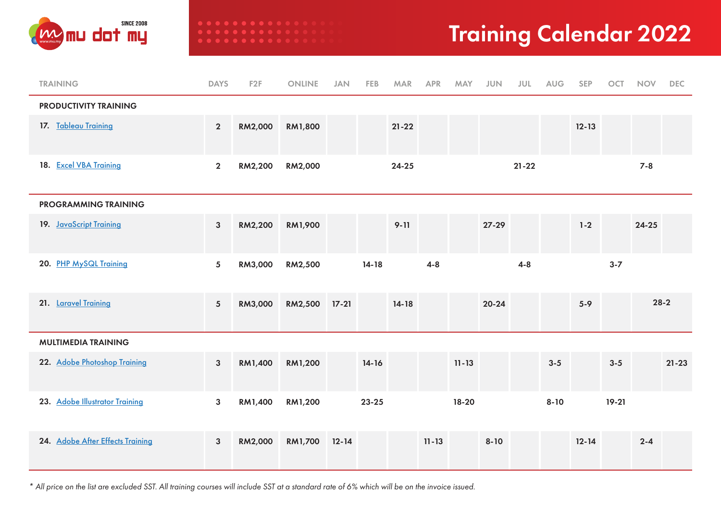

| <b>TRAINING</b>                  | <b>DAYS</b>     | F <sub>2F</sub> | <b>ONLINE</b>  | <b>JAN</b> | FEB       | <b>MAR</b> | <b>APR</b> | <b>MAY</b> | <b>JUN</b> | JUL       | <b>AUG</b> | <b>SEP</b> | <b>OCT</b> | <b>NOV</b> | <b>DEC</b> |  |
|----------------------------------|-----------------|-----------------|----------------|------------|-----------|------------|------------|------------|------------|-----------|------------|------------|------------|------------|------------|--|
| PRODUCTIVITY TRAINING            |                 |                 |                |            |           |            |            |            |            |           |            |            |            |            |            |  |
| 17. Tableau Training             | $\overline{2}$  | RM2,000         | RM1,800        |            |           | $21 - 22$  |            |            |            |           |            | $12 - 13$  |            |            |            |  |
| 18. Excel VBA Training           | $\overline{2}$  | RM2,200         | RM2,000        |            |           | $24 - 25$  |            |            |            | $21 - 22$ |            |            |            | $7-8$      |            |  |
| PROGRAMMING TRAINING             |                 |                 |                |            |           |            |            |            |            |           |            |            |            |            |            |  |
| 19. JavaScript Training          | $\mathbf{3}$    | RM2,200         | RM1,900        |            |           | $9 - 11$   |            |            | $27 - 29$  |           |            | $1 - 2$    |            | $24 - 25$  |            |  |
| 20. PHP MySQL Training           | 5               | RM3,000         | RM2,500        |            | $14 - 18$ |            | $4 - 8$    |            |            | $4 - 8$   |            |            | $3 - 7$    |            |            |  |
| 21. Laravel Training             | $5\overline{)}$ | RM3,000         | RM2,500 17-21  |            |           | $14 - 18$  |            |            | $20 - 24$  |           |            | $5 - 9$    |            |            | $28-2$     |  |
| <b>MULTIMEDIA TRAINING</b>       |                 |                 |                |            |           |            |            |            |            |           |            |            |            |            |            |  |
| 22. Adobe Photoshop Training     | $\mathbf{3}$    | RM1,400         | RM1,200        |            | $14 - 16$ |            |            | $11 - 13$  |            |           | $3 - 5$    |            | $3 - 5$    |            | $21 - 23$  |  |
| 23. Adobe Illustrator Training   | $\mathbf{3}$    | RM1,400         | RM1,200        |            | $23 - 25$ |            |            | $18-20$    |            |           | $8 - 10$   |            | $19-21$    |            |            |  |
| 24. Adobe After Effects Training | $\mathbf{3}$    | RM2,000         | <b>RM1,700</b> | $12 - 14$  |           |            | $11 - 13$  |            | $8 - 10$   |           |            | $12 - 14$  |            | $2 - 4$    |            |  |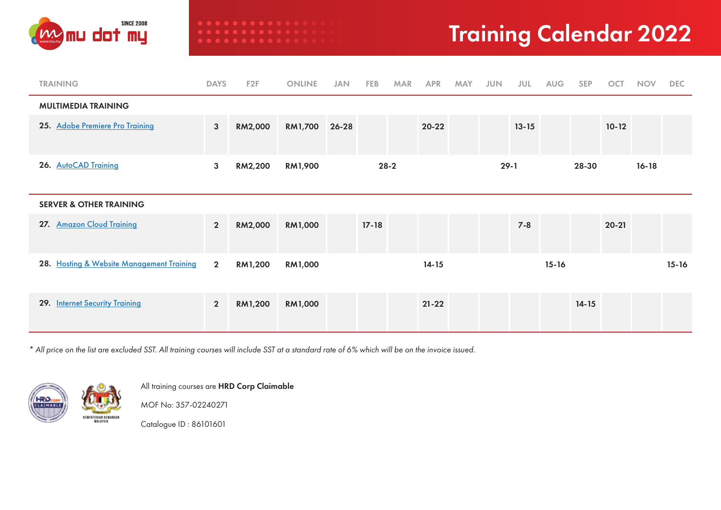

| <b>TRAINING</b>                           | <b>DAYS</b>    | F <sub>2F</sub> | <b>ONLINE</b>  | <b>JAN</b> | <b>FEB</b> | <b>MAR</b> | <b>APR</b> | <b>MAY</b> | <b>JUN</b> | JUL       | <b>AUG</b> | SEP       | OCT       | <b>NOV</b> | <b>DEC</b> |
|-------------------------------------------|----------------|-----------------|----------------|------------|------------|------------|------------|------------|------------|-----------|------------|-----------|-----------|------------|------------|
| <b>MULTIMEDIA TRAINING</b>                |                |                 |                |            |            |            |            |            |            |           |            |           |           |            |            |
| 25. Adobe Premiere Pro Training           | $\mathbf{3}$   | <b>RM2,000</b>  | RM1,700 26-28  |            |            |            | $20 - 22$  |            |            | $13 - 15$ |            |           | $10 - 12$ |            |            |
| 26. AutoCAD Training                      | $\mathbf{3}$   | RM2,200         | RM1,900        |            |            | $28 - 2$   |            | $29-1$     |            |           | 28-30      |           |           | $16 - 18$  |            |
| <b>SERVER &amp; OTHER TRAINING</b>        |                |                 |                |            |            |            |            |            |            |           |            |           |           |            |            |
| 27. Amazon Cloud Training                 | $\overline{2}$ | RM2,000         | <b>RM1,000</b> |            | $17 - 18$  |            |            |            |            | $7 - 8$   |            |           | $20 - 21$ |            |            |
| 28. Hosting & Website Management Training | $\overline{2}$ | RM1,200         | RM1,000        |            |            |            | $14 - 15$  |            |            |           | $15 - 16$  |           |           |            | $15 - 16$  |
| 29. Internet Security Training            | 2 <sup>1</sup> | RM1,200         | <b>RM1,000</b> |            |            |            | $21 - 22$  |            |            |           |            | $14 - 15$ |           |            |            |



All training courses are HRD Corp Claimable

MOF No: 357-02240271

Catalogue ID : 86101601